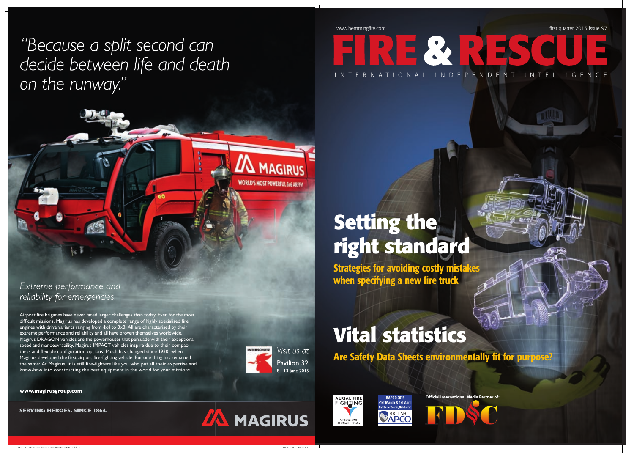www.hemmingfire.com **first quarter 2015** issue 97

## **Setting the right standard**

Strategies for avoiding costly mistakes when specifying a new fire truck

## **Vital statistics**

Are Safety Data Sheets environmentally fit for purpose?





**Official International Media Partner of:**

INTERNAT I O NAL INDEPENDENT INTELL I G ENCE

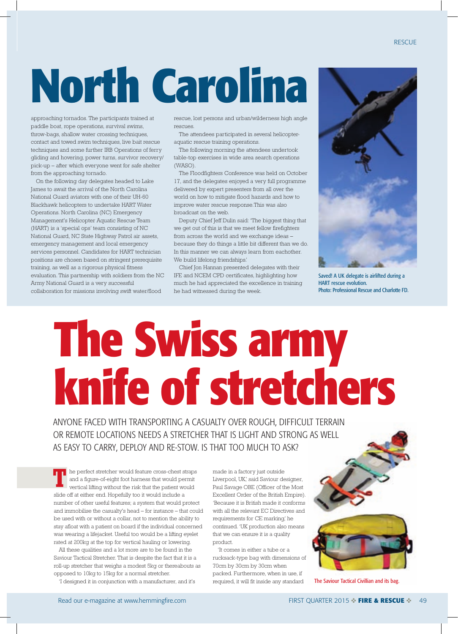## **North Carolina**

approaching tornados. The participants trained at paddle boat, rope operations, survival swims, throw-bags, shallow water crossing techniques, contact and towed swim techniques, live bait rescue techniques and some further IRB Operations of ferry gliding and hovering, power turns, survivor recovery pick-up – after which everyone went for safe shelter from the approaching tornado.

On the following day delegates headed to Lake James to await the arrival of the North Carolina National Guard aviators with one of their UH-6 Blackhawk helicopters to undertake HART Water Operations. North Carolina (NC) Emergency Management's Helicopter Aquatic Rescue Team (HART) is a 'special ops' team consisting of NC National Guard, NC State Highway Patrol air assets, emergency management and local emergency services personnel. Candidates for HART technician positions are chosen based on stringent prerequisite training, as well as a rigorous physical fitness evaluation. This partnership with soldiers from the NC Army National Guard is a very successful collaboration for missions involving swift water/flood

rescue, lost persons and urban/wilderness high angle rescues.

The attendees participated in several helicopteraquatic rescue training operations.

The following morning the attendees undertook table-top exercises in wide area search operations (WASO).

The Floodfighters Conference was held on October 17, and the delegates enjoyed a very full programme delivered by expert presenters from all over the world on how to mitigate flood hazards and how to improve water rescue response.This was also broadcast on the web.

Deputy Chief Jeff Dulin said: 'The biggest thing that we get out of this is that we meet fellow firefighters from across the world and we exchange ideas because they do things a little bit different than we do. In this manner we can always learn from eachother. We build lifelong friendships.'

Chief Jon Hannan presented delegates with their IFE and NCEM CPD certificates, highlighting how much he had appreciated the excellence in training he had witnessed during the week.



Saved! A UK delegate is airlifted during a HART rescue evolution. Photo: Professional Rescue and Charlotte FD.

## **The Swiss army knife of stretchers**

ANYONE FACED WITH TRANSPORTING A CASUALTY OVER ROUGH, DIFFICULT TERRAIN OR REMOTE LOCATIONS NEEDS A STRETCHER THAT IS LIGHT AND STRONG AS WELL AS EASY TO CARRY, DEPLOY AND RE-STOW. IS THAT TOO MUCH TO ASK?

he perfect stretcher would feature cross-chest straps and a figure-of-eight foot harness that would permit vertical lifting without the risk that the patient would slide off at either end. Hopefully too it would include a number of other useful features; a system that would protect and immobilise the casualty's head - for instance - that could be used with or without a collar, not to mention the ability to stay afloat with a patient on board if the individual concerned was wearing a lifejacket. Useful too would be a lifting eyelet rated at 200kg at the top for vertical hauling or lowering. **7**

All these qualities and a lot more are to be found in the Saviour Tactical Stretcher. That is despite the fact that it is a roll-up stretcher that weighs a modest 5kg or thereabouts as opposed to 10kg to 15kg for a normal stretcher.

'I designed it in conjunction with a manufacturer, and it's

made in a factory just outside Liverpool, UK,' said Saviour designer, Paul Savage OBE (Officer of the Most Excellent Order of the British Empire). ¶Because it is British made it conforms with all the relevant EC Directives and requirements for CE marking,' he continued. 'UK production also means that we can ensure it is a quality product.

¶It comes in either a tube or a rucksack-type bag with dimensions of 70cm by 30cm by 30cm when packed. Furthermore, when in use, if required, it will fit inside any standard



The Saviour Tactical Civillian and its bag.